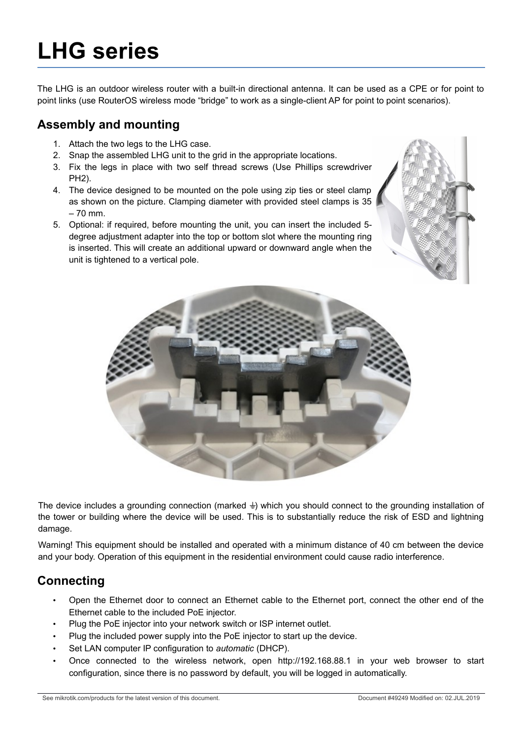# **LHG series**

The LHG is an outdoor wireless router with a built-in directional antenna. It can be used as a CPE or for point to point links (use RouterOS wireless mode "bridge" to work as a single-client AP for point to point scenarios).

#### **Assembly and mounting**

- 1. Attach the two legs to the LHG case.
- 2. Snap the assembled LHG unit to the grid in the appropriate locations.
- 3. Fix the legs in place with two self thread screws (Use Phillips screwdriver PH2).
- 4. The device designed to be mounted on the pole using zip ties or steel clamp as shown on the picture. Clamping diameter with provided steel clamps is 35 – 70 mm.
- 5. Optional: if required, before mounting the unit, you can insert the included 5 degree adjustment adapter into the top or bottom slot where the mounting ring is inserted. This will create an additional upward or downward angle when the unit is tightened to a vertical pole.





The device includes a grounding connection (marked  $\frac{1}{2}$ ) which you should connect to the grounding installation of the tower or building where the device will be used. This is to substantially reduce the risk of ESD and lightning damage.

Warning! This equipment should be installed and operated with a minimum distance of 40 cm between the device and your body. Operation of this equipment in the residential environment could cause radio interference.

# **Connecting**

- Open the Ethernet door to connect an Ethernet cable to the Ethernet port, connect the other end of the Ethernet cable to the included PoE injector.
- Plug the PoE injector into your network switch or ISP internet outlet.
- Plug the included power supply into the PoE injector to start up the device.
- Set LAN computer IP configuration to *automatic* (DHCP).
- Once connected to the wireless network, open http://192.168.88.1 in your web browser to start configuration, since there is no password by default, you will be logged in automatically.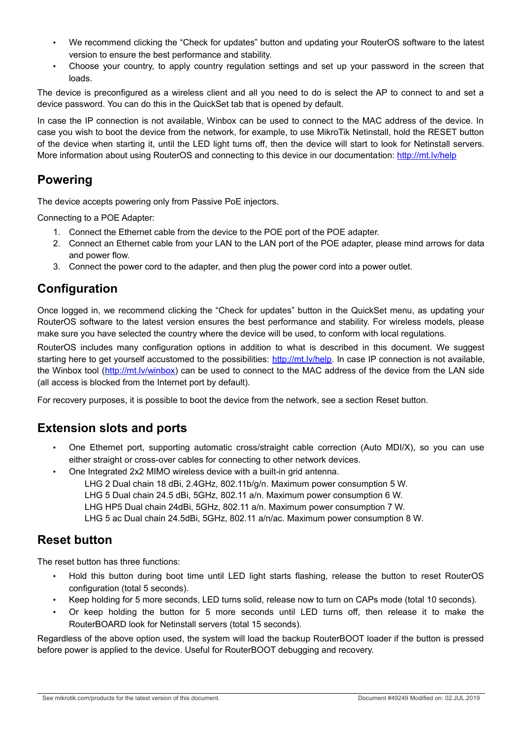- We recommend clicking the "Check for updates" button and updating your RouterOS software to the latest version to ensure the best performance and stability.
- Choose your country, to apply country regulation settings and set up your password in the screen that loads.

The device is preconfigured as a wireless client and all you need to do is select the AP to connect to and set a device password. You can do this in the QuickSet tab that is opened by default.

In case the IP connection is not available, Winbox can be used to connect to the MAC address of the device. In case you wish to boot the device from the network, for example, to use MikroTik Netinstall, hold the RESET button of the device when starting it, until the LED light turns off, then the device will start to look for Netinstall servers. More information about using RouterOS and connecting to this device in our documentation:<http://mt.lv/help>

#### **Powering**

The device accepts powering only from Passive PoE injectors.

Connecting to a POE Adapter:

- 1. Connect the Ethernet cable from the device to the POE port of the POE adapter.
- 2. Connect an Ethernet cable from your LAN to the LAN port of the POE adapter, please mind arrows for data and power flow.
- 3. Connect the power cord to the adapter, and then plug the power cord into a power outlet.

#### **Configuration**

Once logged in, we recommend clicking the "Check for updates" button in the QuickSet menu, as updating your RouterOS software to the latest version ensures the best performance and stability. For wireless models, please make sure you have selected the country where the device will be used, to conform with local regulations.

RouterOS includes many configuration options in addition to what is described in this document. We suggest starting here to get yourself accustomed to the possibilities: [http://mt.lv/help.](http://mt.lv/help) In case IP connection is not available, the Winbox tool [\(http://mt.lv/winbox\)](http://mt.lv/winbox) can be used to connect to the MAC address of the device from the LAN side (all access is blocked from the Internet port by default).

For recovery purposes, it is possible to boot the device from the network, see a section [Reset button.](#page-1-0)

#### **Extension slots and ports**

- One Ethernet port, supporting automatic cross/straight cable correction (Auto MDI/X), so you can use either straight or cross-over cables for connecting to other network devices.
- One Integrated 2x2 MIMO wireless device with a built-in grid antenna.

LHG 2 Dual chain 18 dBi, 2.4GHz, 802.11b/g/n. Maximum power consumption 5 W.

- LHG 5 Dual chain 24.5 dBi, 5GHz, 802.11 a/n. Maximum power consumption 6 W.
- LHG HP5 Dual chain 24dBi, 5GHz, 802.11 a/n. Maximum power consumption 7 W.

LHG 5 ac Dual chain 24.5dBi, 5GHz, 802.11 a/n/ac. Maximum power consumption 8 W.

#### <span id="page-1-0"></span>**Reset button**

The reset button has three functions:

- Hold this button during boot time until LED light starts flashing, release the button to reset RouterOS configuration (total 5 seconds).
- Keep holding for 5 more seconds, LED turns solid, release now to turn on CAPs mode (total 10 seconds).
- Or keep holding the button for 5 more seconds until LED turns off, then release it to make the RouterBOARD look for Netinstall servers (total 15 seconds).

Regardless of the above option used, the system will load the backup RouterBOOT loader if the button is pressed before power is applied to the device. Useful for RouterBOOT debugging and recovery.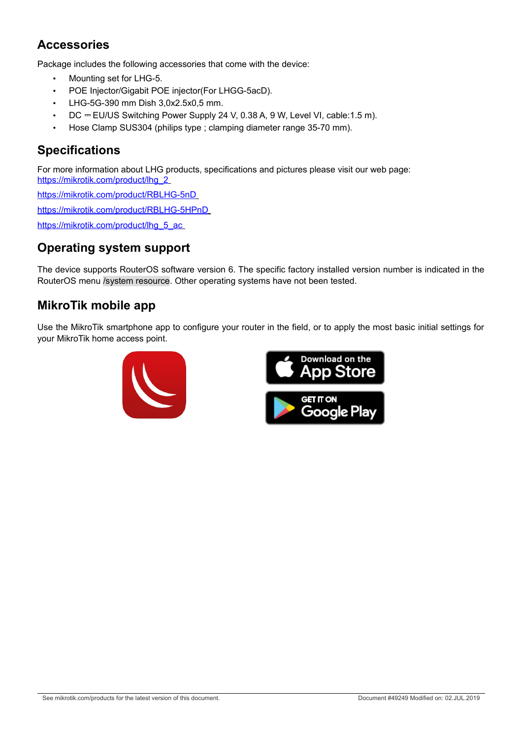# **Accessories**

Package includes the following accessories that come with the device:

- Mounting set for LHG-5.
- POE Injector/Gigabit POE injector(For LHGG-5acD).
- LHG-5G-390 mm Dish 3,0x2.5x0,5 mm.
- DC = EU/US Switching Power Supply 24 V, 0.38 A, 9 W, Level VI, cable: 1.5 m).
- Hose Clamp SUS304 (philips type ; clamping diameter range 35-70 mm).

#### **Specifications**

For more information about LHG products, specifications and pictures please visit our web page:  [https://mikrotik.com/product/lhg\\_2](https://mikrotik.com/product/lhg_2)

<https://mikrotik.com/product/RBLHG-5nD>

<https://mikrotik.com/product/RBLHG-5HPnD>

[https://mikrotik.com/product/lhg\\_5\\_ac](https://mikrotik.com/product/lhg_5_ac)

## **Operating system support**

The device supports RouterOS software version 6. The specific factory installed version number is indicated in the RouterOS menu /system resource. Other operating systems have not been tested.

#### **MikroTik mobile app**

Use the MikroTik smartphone app to configure your router in the field, or to apply the most basic initial settings for your MikroTik home access point.



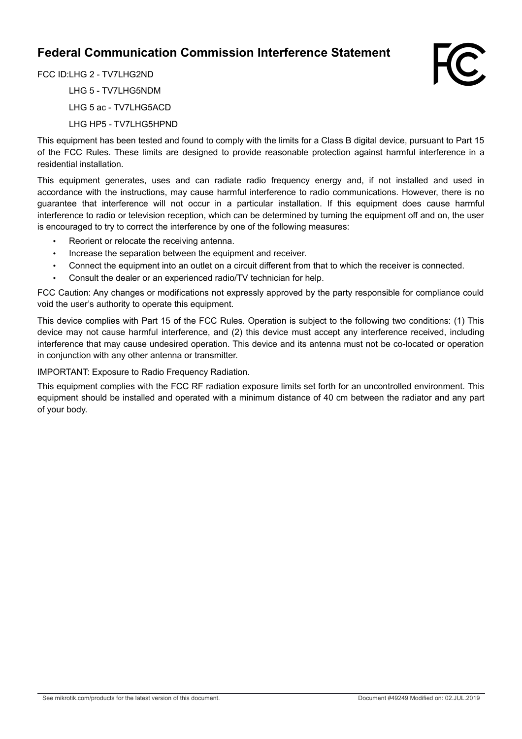## **Federal Communication Commission Interference Statement**



FCC ID:LHG 2 - TV7LHG2ND LHG 5 - TV7LHG5NDM LHG 5 ac - TV7LHG5ACD LHG HP5 - TV7LHG5HPND

This equipment has been tested and found to comply with the limits for a Class B digital device, pursuant to Part 15 of the FCC Rules. These limits are designed to provide reasonable protection against harmful interference in a residential installation.

This equipment generates, uses and can radiate radio frequency energy and, if not installed and used in accordance with the instructions, may cause harmful interference to radio communications. However, there is no guarantee that interference will not occur in a particular installation. If this equipment does cause harmful interference to radio or television reception, which can be determined by turning the equipment off and on, the user is encouraged to try to correct the interference by one of the following measures:

- Reorient or relocate the receiving antenna.
- Increase the separation between the equipment and receiver.
- Connect the equipment into an outlet on a circuit different from that to which the receiver is connected.
- Consult the dealer or an experienced radio/TV technician for help.

FCC Caution: Any changes or modifications not expressly approved by the party responsible for compliance could void the user's authority to operate this equipment.

This device complies with Part 15 of the FCC Rules. Operation is subject to the following two conditions: (1) This device may not cause harmful interference, and (2) this device must accept any interference received, including interference that may cause undesired operation. This device and its antenna must not be co-located or operation in conjunction with any other antenna or transmitter.

IMPORTANT: Exposure to Radio Frequency Radiation.

This equipment complies with the FCC RF radiation exposure limits set forth for an uncontrolled environment. This equipment should be installed and operated with a minimum distance of 40 cm between the radiator and any part of your body.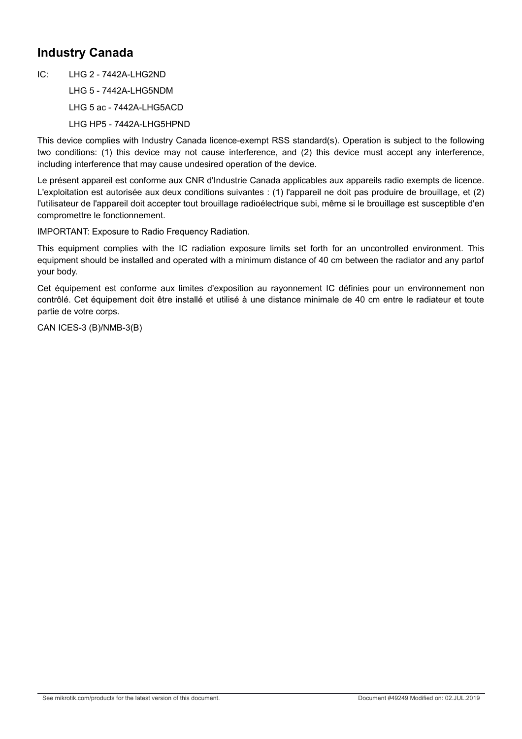## **Industry Canada**

 $IC:$  LHG 2 - 7442A-LHG2ND LHG 5 - 7442A-LHG5NDM LHG 5 ac - 7442A-LHG5ACD LHG HP5 - 7442A-LHG5HPND

This device complies with Industry Canada licence-exempt RSS standard(s). Operation is subject to the following two conditions: (1) this device may not cause interference, and (2) this device must accept any interference, including interference that may cause undesired operation of the device.

Le présent appareil est conforme aux CNR d'Industrie Canada applicables aux appareils radio exempts de licence. L'exploitation est autorisée aux deux conditions suivantes : (1) l'appareil ne doit pas produire de brouillage, et (2) l'utilisateur de l'appareil doit accepter tout brouillage radioélectrique subi, même si le brouillage est susceptible d'en compromettre le fonctionnement.

IMPORTANT: Exposure to Radio Frequency Radiation.

This equipment complies with the IC radiation exposure limits set forth for an uncontrolled environment. This equipment should be installed and operated with a minimum distance of 40 cm between the radiator and any partof your body.

Cet équipement est conforme aux limites d'exposition au rayonnement IC définies pour un environnement non contrôlé. Cet équipement doit être installé et utilisé à une distance minimale de 40 cm entre le radiateur et toute partie de votre corps.

CAN ICES-3 (B)/NMB-3(B)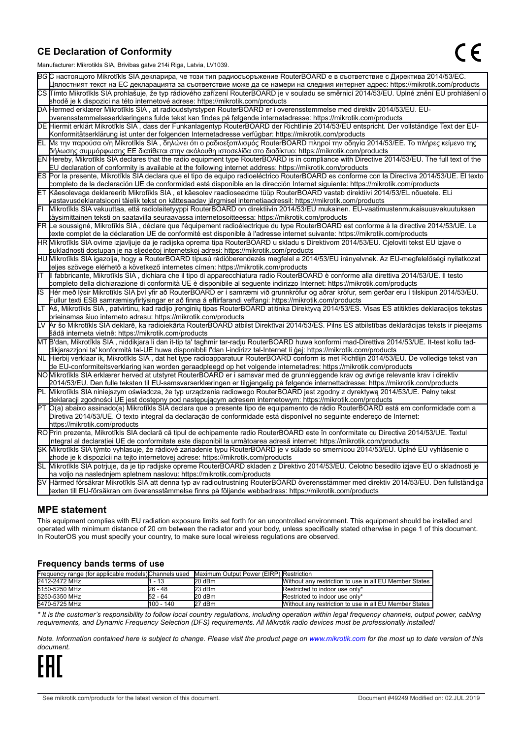#### **CE Declaration of Conformity**

Manufacturer: Mikrotikls SIA, Brivibas gatve 214i Riga, Latvia, LV1039.

|    | $m$ ananao $m$ . Iviini olinis Oli I, Drivibas yatvo $L$ i $\pi$ i Tiiga, Latvia, Lv Toos.                                                                                                                                                       |
|----|--------------------------------------------------------------------------------------------------------------------------------------------------------------------------------------------------------------------------------------------------|
|    | ВСС настоящото Mikrotīkls SIA декларира, че този тип радиосъоръжение RouterBOARD е в съответствие с Директива 2014/53/EC.                                                                                                                        |
|    | Цялостният текст на ЕС декларацията за съответствие може да се намери на следния интернет адрес: https://mikrotik.com/products                                                                                                                   |
|    | CS Tímto Mikrotīkls SIA prohlašuje, že typ rádiového zařízení RouterBOARD je v souladu se směrnicí 2014/53/EU. Úplné znění EU prohlášení o                                                                                                       |
|    | shodě je k dispozici na této internetové adrese: https://mikrotik.com/products                                                                                                                                                                   |
|    | DA Hermed erklærer Mikrotīkls SIA, at radioudstyrstypen RouterBOARD er i overensstemmelse med direktiv 2014/53/EU. EU-                                                                                                                           |
|    | overensstemmelseserklæringens fulde tekst kan findes på følgende internetadresse: https://mikrotik.com/products                                                                                                                                  |
|    | DE Hiermit erklärt Mikrotīkls SIA, dass der Funkanlagentyp RouterBOARD der Richtlinie 2014/53/EU entspricht. Der vollständige Text der EU-                                                                                                       |
|    | Konformitätserklärung ist unter der folgenden Internetadresse verfügbar: https://mikrotik.com/products                                                                                                                                           |
|    | ΕL Με την παρούσα ο/η Mikrotīkls SIA , δηλώνει ότι ο ραδιοεξοπλισμός RouterBOARD πληροί την οδηγία 2014/53/ΕΕ. Το πλήρες κείμενο της<br> δήλωσης συμμόρφωσης ΕΕ διατίθεται στην ακόλουθη ιστοσελίδα στο διαδίκτυο: https://mikrotik.com/products |
|    | EN Hereby, Mikrotīkls SIA declares that the radio equipment type RouterBOARD is in compliance with Directive 2014/53/EU. The full text of the                                                                                                    |
|    | EU declaration of conformity is available at the following internet address: https://mikrotik.com/products                                                                                                                                       |
|    | ES Por la presente, Mikrotīkls SIA declara que el tipo de equipo radioeléctrico RouterBOARD es conforme con la Directiva 2014/53/UE. El texto                                                                                                    |
|    | completo de la declaración UE de conformidad está disponible en la dirección Internet siguiente: https://mikrotik.com/products                                                                                                                   |
|    | ET Käesolevaga deklareerib Mikrotīkls SIA, et käesolev raadioseadme tüüp RouterBOARD vastab direktiivi 2014/53/EL nõuetele. ELi                                                                                                                  |
|    | vastavusdeklaratsiooni täielik tekst on kättesaadav järgmisel internetiaadressil: https://mikrotik.com/products                                                                                                                                  |
|    | Mikrotīkls SIA vakuuttaa, että radiolaitetyyppi RouterBOARD on direktiivin 2014/53/EU mukainen. EU-vaatimustenmukaisuusvakuutuksen                                                                                                               |
|    | täysimittainen teksti on saatavilla seuraavassa internetosoitteessa: https://mikrotik.com/products                                                                                                                                               |
|    | FR Le soussigné, Mikrotīkls SIA, déclare que l'équipement radioélectrique du type RouterBOARD est conforme à la directive 2014/53/UE. Le                                                                                                         |
|    | texte complet de la déclaration UE de conformité est disponible à l'adresse internet suivante: https://mikrotik.com/products                                                                                                                     |
|    | HR Mikrotīkls SIA ovime izjavljuje da je radijska oprema tipa RouterBOARD u skladu s Direktivom 2014/53/EU. Cjeloviti tekst EU izjave o                                                                                                          |
|    | sukladnosti dostupan je na sljedećoj internetskoj adresi: https://mikrotik.com/products                                                                                                                                                          |
|    | HU Mikrotīkls SIA igazolja, hogy a RouterBOARD típusú rádióberendezés megfelel a 2014/53/EU irányelvnek. Az EU-megfelelőségi nyilatkozat                                                                                                         |
|    | teljes szövege elérhető a következő internetes címen: https://mikrotik.com/products                                                                                                                                                              |
| lΤ | Il fabbricante, Mikrotīkls SIA, dichiara che il tipo di apparecchiatura radio RouterBOARD è conforme alla direttiva 2014/53/UE. Il testo                                                                                                         |
|    | completo della dichiarazione di conformità UE è disponibile al seguente indirizzo Internet: https://mikrotik.com/products                                                                                                                        |
| IS | Hér með lýsir Mikrotīkls SIA því yfir að RouterBOARD er í samræmi við grunnkröfur og aðrar kröfur, sem gerðar eru í tilskipun 2014/53/EU.                                                                                                        |
|    | Fullur texti ESB samræmisyfirlýsingar er að finna á eftirfarandi veffangi: https://mikrotik.com/products                                                                                                                                         |
|    | LT Aš, Mikrotīkls SIA, patvirtinu, kad radijo įrenginių tipas RouterBOARD atitinka Direktyvą 2014/53/ES. Visas ES atitikties deklaracijos tekstas<br>prieinamas šiuo interneto adresu: https://mikrotik.com/products                             |
|    | Ar šo Mikrotīkls SIA deklarē, ka radioiekārta RouterBOARD atbilst Direktīvai 2014/53/ES. Pilns ES atbilstības deklarācijas teksts ir pieejams                                                                                                    |
|    | šādā interneta vietnē: https://mikrotik.com/products                                                                                                                                                                                             |
|    | MT B'dan, Mikrotīkls SIA, niddikjara li dan it-tip ta' tagħmir tar-radju RouterBOARD huwa konformi mad-Direttiva 2014/53/UE. It-test kollu tad-                                                                                                  |
|    | dikjarazzjoni ta' konformità tal-UE huwa disponibbli f'dan l-indirizz tal-Internet li ġej: https://mikrotik.com/products                                                                                                                         |
|    | NL Hierbij verklaar ik, Mikrotīkls SIA , dat het type radioapparatuur RouterBOARD conform is met Richtlijn 2014/53/EU. De volledige tekst van                                                                                                    |
|    | de EU-conformiteitsverklaring kan worden geraadpleegd op het volgende internetadres: https://mikrotik.com/products                                                                                                                               |
|    | NOMikrotīkls SIA erklærer herved at utstyret RouterBOARD er i samsvar med de grunnleggende krav og øvrige relevante krav i direktiv                                                                                                              |
|    | 2014/53/EU. Den fulle teksten til EU-samsvarserklæringen er tilgjengelig på følgende internettadresse: https://mikrotik.com/products                                                                                                             |
|    | PL Mikrotīkls SIA niniejszym oświadcza, że typ urządzenia radiowego RouterBOARD jest zgodny z dyrektywą 2014/53/UE. Pełny tekst                                                                                                                  |
|    | deklaracji zgodności UE jest dostępny pod następującym adresem internetowym: https://mikrotik.com/products                                                                                                                                       |
|    | PT O(a) abaixo assinado(a) Mikrotīkls SIA declara que o presente tipo de equipamento de rádio RouterBOARD está em conformidade com a                                                                                                             |
|    | Diretiva 2014/53/UE. O texto integral da declaração de conformidade está disponível no seguinte endereço de Internet:                                                                                                                            |
|    | https://mikrotik.com/products                                                                                                                                                                                                                    |
|    | ROPrin prezenta, Mikrotīkls SIA declară că tipul de echipamente radio RouterBOARD este în conformitate cu Directiva 2014/53/UE. Textul                                                                                                           |
|    | integral al declarației UE de conformitate este disponibil la următoarea adresă internet: https://mikrotik.com/products                                                                                                                          |
|    | SK Mikrotīkls SIA týmto vyhlasuje, že rádiové zariadenie typu RouterBOARD je v súlade so smernicou 2014/53/EÚ. Úplné EÚ vyhlásenie o                                                                                                             |
|    | zhode je k dispozícii na tejto internetovej adrese: https://mikrotik.com/products                                                                                                                                                                |
|    | SL Mikrotīkls SIA potrjuje, da je tip radijske opreme RouterBOARD skladen z Direktivo 2014/53/EU. Celotno besedilo izjave EU o skladnosti je                                                                                                     |
|    | na voljo na naslednjem spletnem naslovu: https://mikrotik.com/products                                                                                                                                                                           |
|    | SV Härmed försäkrar Mikrotīkls SIA att denna typ av radioutrustning RouterBOARD överensstämmer med direktiv 2014/53/EU. Den fullständiga                                                                                                         |
|    | texten till EU-försäkran om överensstämmelse finns på följande webbadress: https://mikrotik.com/products                                                                                                                                         |

#### **MPE statement**

This equipment complies with EU radiation exposure limits set forth for an uncontrolled environment. This equipment should be installed and operated with minimum distance of 20 cm between the radiator and your body, unless specifically stated otherwise in page 1 of this document. In RouterOS you must specify your country, to make sure local wireless regulations are observed.

#### **Frequency bands terms of use**

| Frequency range (for applicable models) Channels used |           | Maximum Output Power (EIRP) Restriction |                                                        |  |  |
|-------------------------------------------------------|-----------|-----------------------------------------|--------------------------------------------------------|--|--|
| 2412-2472 MHz                                         | - 13      | $20$ dBm                                | Without any restriction to use in all EU Member States |  |  |
| 5150-5250 MHz                                         | $26 - 48$ | 23 dBm                                  | Restricted to indoor use only*                         |  |  |
| 5250-5350 MHz                                         | 52 - 64   | 20 dBm                                  | Restricted to indoor use only*                         |  |  |
| 5470-5725 MHz                                         | 100 - 140 | 27 dBm                                  | Without any restriction to use in all EU Member States |  |  |

*\* It is the customer's responsibility to follow local country regulations, including operation within legal frequency channels, output power, cabling requirements, and Dynamic Frequency Selection (DFS) requirements. All Mikrotik radio devices must be professionally installed!*

*Note. Information contained here is subject to change. Please visit the product page on [www.mikrotik.com](http://www.mikrotik.com/) for the most up to date version of this document.*